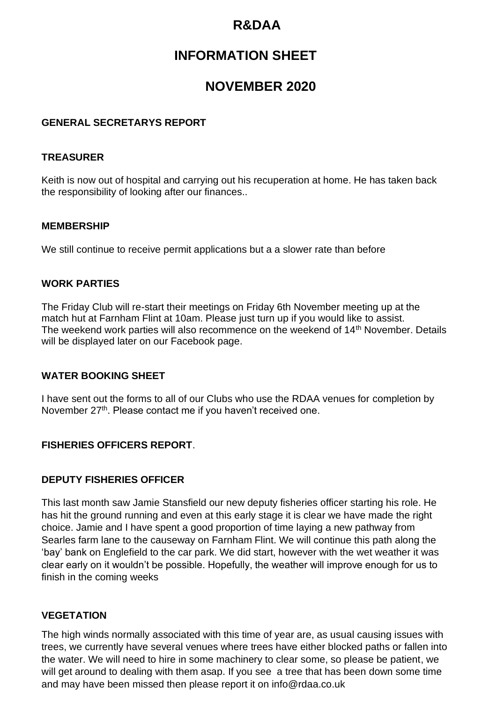## **R&DAA**

# **INFORMATION SHEET**

## **NOVEMBER 2020**

### **GENERAL SECRETARYS REPORT**

## **TREASURER**

Keith is now out of hospital and carrying out his recuperation at home. He has taken back the responsibility of looking after our finances..

#### **MEMBERSHIP**

We still continue to receive permit applications but a a slower rate than before

#### **WORK PARTIES**

The Friday Club will re-start their meetings on Friday 6th November meeting up at the match hut at Farnham Flint at 10am. Please just turn up if you would like to assist. The weekend work parties will also recommence on the weekend of 14<sup>th</sup> November. Details will be displayed later on our Facebook page.

#### **WATER BOOKING SHEET**

I have sent out the forms to all of our Clubs who use the RDAA venues for completion by November 27<sup>th</sup>. Please contact me if you haven't received one.

## **FISHERIES OFFICERS REPORT**.

#### **DEPUTY FISHERIES OFFICER**

This last month saw Jamie Stansfield our new deputy fisheries officer starting his role. He has hit the ground running and even at this early stage it is clear we have made the right choice. Jamie and I have spent a good proportion of time laying a new pathway from Searles farm lane to the causeway on Farnham Flint. We will continue this path along the 'bay' bank on Englefield to the car park. We did start, however with the wet weather it was clear early on it wouldn't be possible. Hopefully, the weather will improve enough for us to finish in the coming weeks

#### **VEGETATION**

The high winds normally associated with this time of year are, as usual causing issues with trees, we currently have several venues where trees have either blocked paths or fallen into the water. We will need to hire in some machinery to clear some, so please be patient, we will get around to dealing with them asap. If you see a tree that has been down some time and may have been missed then please report it on info@rdaa.co.uk